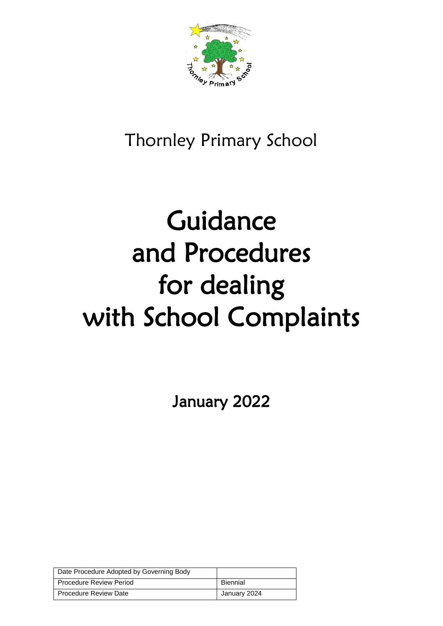

## Thornley Primary School

# Guidance and Procedures for dealing with School Complaints

January 2022

| Date Procedure Adopted by Governing Body |                 |
|------------------------------------------|-----------------|
| l Procedure Review Period                | <b>Biennial</b> |
| <b>Procedure Review Date</b>             | January 2024    |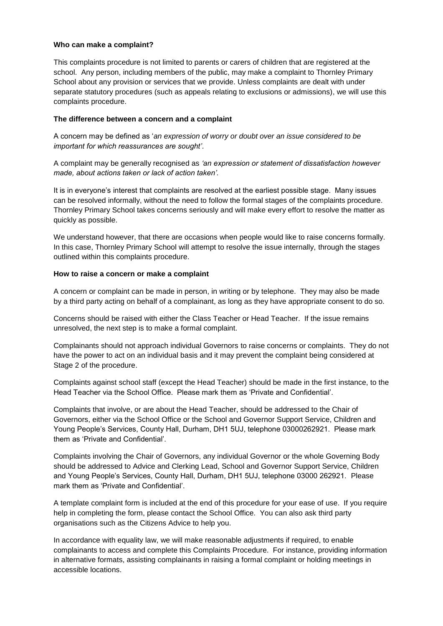#### **Who can make a complaint?**

This complaints procedure is not limited to parents or carers of children that are registered at the school. Any person, including members of the public, may make a complaint to Thornley Primary School about any provision or services that we provide. Unless complaints are dealt with under separate statutory procedures (such as appeals relating to exclusions or admissions), we will use this complaints procedure.

#### **The difference between a concern and a complaint**

A concern may be defined as '*an expression of worry or doubt over an issue considered to be important for which reassurances are sought'*.

A complaint may be generally recognised as *'an expression or statement of dissatisfaction however made, about actions taken or lack of action taken'.*

It is in everyone's interest that complaints are resolved at the earliest possible stage. Many issues can be resolved informally, without the need to follow the formal stages of the complaints procedure. Thornley Primary School takes concerns seriously and will make every effort to resolve the matter as quickly as possible.

We understand however, that there are occasions when people would like to raise concerns formally. In this case, Thornley Primary School will attempt to resolve the issue internally, through the stages outlined within this complaints procedure.

#### **How to raise a concern or make a complaint**

A concern or complaint can be made in person, in writing or by telephone. They may also be made by a third party acting on behalf of a complainant, as long as they have appropriate consent to do so.

Concerns should be raised with either the Class Teacher or Head Teacher. If the issue remains unresolved, the next step is to make a formal complaint.

Complainants should not approach individual Governors to raise concerns or complaints. They do not have the power to act on an individual basis and it may prevent the complaint being considered at Stage 2 of the procedure.

Complaints against school staff (except the Head Teacher) should be made in the first instance, to the Head Teacher via the School Office. Please mark them as 'Private and Confidential'.

Complaints that involve, or are about the Head Teacher, should be addressed to the Chair of Governors, either via the School Office or the School and Governor Support Service, Children and Young People's Services, County Hall, Durham, DH1 5UJ, telephone 03000262921. Please mark them as 'Private and Confidential'.

Complaints involving the Chair of Governors, any individual Governor or the whole Governing Body should be addressed to Advice and Clerking Lead, School and Governor Support Service, Children and Young People's Services, County Hall, Durham, DH1 5UJ, telephone 03000 262921. Please mark them as 'Private and Confidential'.

A template complaint form is included at the end of this procedure for your ease of use. If you require help in completing the form, please contact the School Office. You can also ask third party organisations such as the Citizens Advice to help you.

In accordance with equality law, we will make reasonable adjustments if required, to enable complainants to access and complete this Complaints Procedure. For instance, providing information in alternative formats, assisting complainants in raising a formal complaint or holding meetings in accessible locations.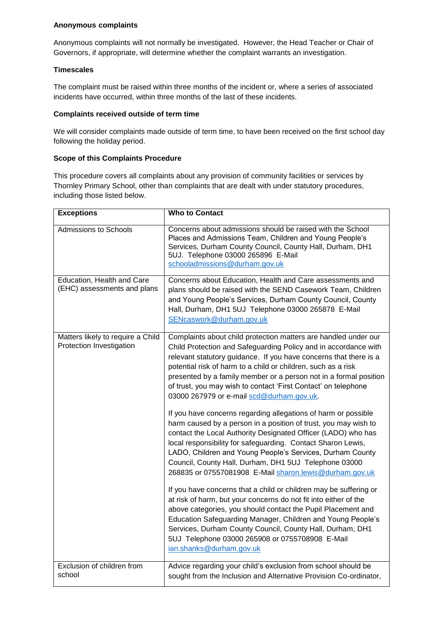#### **Anonymous complaints**

Anonymous complaints will not normally be investigated. However, the Head Teacher or Chair of Governors, if appropriate, will determine whether the complaint warrants an investigation.

#### **Timescales**

The complaint must be raised within three months of the incident or, where a series of associated incidents have occurred, within three months of the last of these incidents.

#### **Complaints received outside of term time**

We will consider complaints made outside of term time, to have been received on the first school day following the holiday period.

#### **Scope of this Complaints Procedure**

This procedure covers all complaints about any provision of community facilities or services by Thornley Primary School, other than complaints that are dealt with under statutory procedures, including those listed below.

| <b>Exceptions</b>                                             | <b>Who to Contact</b>                                                                                                                                                                                                                                                                                                                                                                                                                                        |
|---------------------------------------------------------------|--------------------------------------------------------------------------------------------------------------------------------------------------------------------------------------------------------------------------------------------------------------------------------------------------------------------------------------------------------------------------------------------------------------------------------------------------------------|
| <b>Admissions to Schools</b>                                  | Concerns about admissions should be raised with the School<br>Places and Admissions Team, Children and Young People's<br>Services, Durham County Council, County Hall, Durham, DH1<br>5UJ. Telephone 03000 265896 E-Mail<br>schooladmissions@durham.gov.uk                                                                                                                                                                                                   |
| Education, Health and Care<br>(EHC) assessments and plans     | Concerns about Education, Health and Care assessments and<br>plans should be raised with the SEND Casework Team, Children<br>and Young People's Services, Durham County Council, County<br>Hall, Durham, DH1 5UJ Telephone 03000 265878 E-Mail<br>SENcaswork@durham.gov.uk                                                                                                                                                                                   |
| Matters likely to require a Child<br>Protection Investigation | Complaints about child protection matters are handled under our<br>Child Protection and Safeguarding Policy and in accordance with<br>relevant statutory guidance. If you have concerns that there is a<br>potential risk of harm to a child or children, such as a risk<br>presented by a family member or a person not in a formal position<br>of trust, you may wish to contact 'First Contact' on telephone<br>03000 267979 or e-mail scd@durham.gov.uk. |
|                                                               | If you have concerns regarding allegations of harm or possible<br>harm caused by a person in a position of trust, you may wish to<br>contact the Local Authority Designated Officer (LADO) who has<br>local responsibility for safeguarding. Contact Sharon Lewis,<br>LADO, Children and Young People's Services, Durham County<br>Council, County Hall, Durham, DH1 5UJ Telephone 03000<br>268835 or 07557081908 E-Mail sharon.lewis@durham.gov.uk          |
|                                                               | If you have concerns that a child or children may be suffering or<br>at risk of harm, but your concerns do not fit into either of the<br>above categories, you should contact the Pupil Placement and<br>Education Safeguarding Manager, Children and Young People's<br>Services, Durham County Council, County Hall, Durham, DH1<br>5UJ Telephone 03000 265908 or 0755708908 E-Mail<br>ian.shanks@durham.gov.uk                                             |
| Exclusion of children from<br>school                          | Advice regarding your child's exclusion from school should be<br>sought from the Inclusion and Alternative Provision Co-ordinator,                                                                                                                                                                                                                                                                                                                           |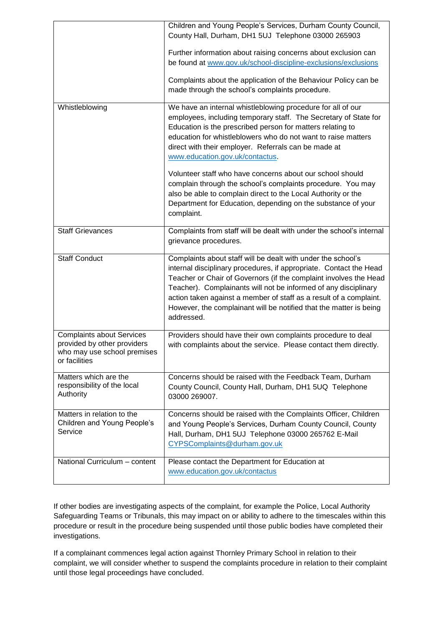|                                                                                                                 | Children and Young People's Services, Durham County Council,<br>County Hall, Durham, DH1 5UJ Telephone 03000 265903<br>Further information about raising concerns about exclusion can<br>be found at www.gov.uk/school-discipline-exclusions/exclusions<br>Complaints about the application of the Behaviour Policy can be<br>made through the school's complaints procedure.                                                        |
|-----------------------------------------------------------------------------------------------------------------|--------------------------------------------------------------------------------------------------------------------------------------------------------------------------------------------------------------------------------------------------------------------------------------------------------------------------------------------------------------------------------------------------------------------------------------|
| Whistleblowing                                                                                                  | We have an internal whistleblowing procedure for all of our<br>employees, including temporary staff. The Secretary of State for<br>Education is the prescribed person for matters relating to<br>education for whistleblowers who do not want to raise matters<br>direct with their employer. Referrals can be made at<br>www.education.gov.uk/contactus.                                                                            |
|                                                                                                                 | Volunteer staff who have concerns about our school should<br>complain through the school's complaints procedure. You may<br>also be able to complain direct to the Local Authority or the<br>Department for Education, depending on the substance of your<br>complaint.                                                                                                                                                              |
| <b>Staff Grievances</b>                                                                                         | Complaints from staff will be dealt with under the school's internal<br>grievance procedures.                                                                                                                                                                                                                                                                                                                                        |
| <b>Staff Conduct</b>                                                                                            | Complaints about staff will be dealt with under the school's<br>internal disciplinary procedures, if appropriate. Contact the Head<br>Teacher or Chair of Governors (if the complaint involves the Head<br>Teacher). Complainants will not be informed of any disciplinary<br>action taken against a member of staff as a result of a complaint.<br>However, the complainant will be notified that the matter is being<br>addressed. |
| <b>Complaints about Services</b><br>provided by other providers<br>who may use school premises<br>or facilities | Providers should have their own complaints procedure to deal<br>with complaints about the service. Please contact them directly.                                                                                                                                                                                                                                                                                                     |
| Matters which are the<br>responsibility of the local<br>Authority                                               | Concerns should be raised with the Feedback Team, Durham<br>County Council, County Hall, Durham, DH1 5UQ Telephone<br>03000 269007.                                                                                                                                                                                                                                                                                                  |
| Matters in relation to the<br>Children and Young People's<br>Service                                            | Concerns should be raised with the Complaints Officer, Children<br>and Young People's Services, Durham County Council, County<br>Hall, Durham, DH1 5UJ Telephone 03000 265762 E-Mail<br>CYPSComplaints@durham.gov.uk                                                                                                                                                                                                                 |
| National Curriculum - content                                                                                   | Please contact the Department for Education at<br>www.education.gov.uk/contactus                                                                                                                                                                                                                                                                                                                                                     |

If other bodies are investigating aspects of the complaint, for example the Police, Local Authority Safeguarding Teams or Tribunals, this may impact on or ability to adhere to the timescales within this procedure or result in the procedure being suspended until those public bodies have completed their investigations.

If a complainant commences legal action against Thornley Primary School in relation to their complaint, we will consider whether to suspend the complaints procedure in relation to their complaint until those legal proceedings have concluded.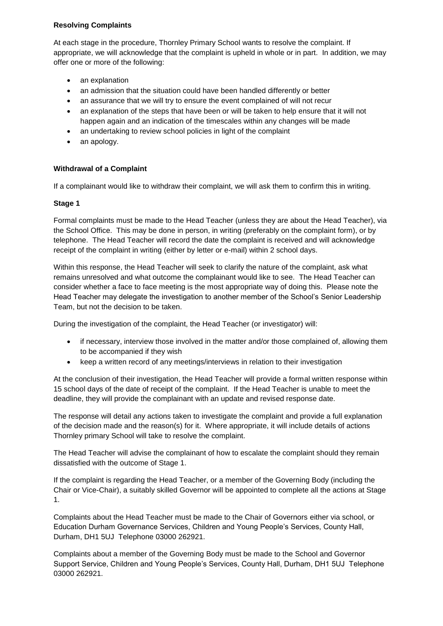#### **Resolving Complaints**

At each stage in the procedure, Thornley Primary School wants to resolve the complaint. If appropriate, we will acknowledge that the complaint is upheld in whole or in part. In addition, we may offer one or more of the following:

- an explanation
- an admission that the situation could have been handled differently or better
- an assurance that we will try to ensure the event complained of will not recur
- an explanation of the steps that have been or will be taken to help ensure that it will not happen again and an indication of the timescales within any changes will be made
- an undertaking to review school policies in light of the complaint
- an apology.

#### **Withdrawal of a Complaint**

If a complainant would like to withdraw their complaint, we will ask them to confirm this in writing.

#### **Stage 1**

Formal complaints must be made to the Head Teacher (unless they are about the Head Teacher), via the School Office. This may be done in person, in writing (preferably on the complaint form), or by telephone. The Head Teacher will record the date the complaint is received and will acknowledge receipt of the complaint in writing (either by letter or e-mail) within 2 school days.

Within this response, the Head Teacher will seek to clarify the nature of the complaint, ask what remains unresolved and what outcome the complainant would like to see. The Head Teacher can consider whether a face to face meeting is the most appropriate way of doing this. Please note the Head Teacher may delegate the investigation to another member of the School's Senior Leadership Team, but not the decision to be taken.

During the investigation of the complaint, the Head Teacher (or investigator) will:

- if necessary, interview those involved in the matter and/or those complained of, allowing them to be accompanied if they wish
- keep a written record of any meetings/interviews in relation to their investigation

At the conclusion of their investigation, the Head Teacher will provide a formal written response within 15 school days of the date of receipt of the complaint. If the Head Teacher is unable to meet the deadline, they will provide the complainant with an update and revised response date.

The response will detail any actions taken to investigate the complaint and provide a full explanation of the decision made and the reason(s) for it. Where appropriate, it will include details of actions Thornley primary School will take to resolve the complaint.

The Head Teacher will advise the complainant of how to escalate the complaint should they remain dissatisfied with the outcome of Stage 1.

If the complaint is regarding the Head Teacher, or a member of the Governing Body (including the Chair or Vice-Chair), a suitably skilled Governor will be appointed to complete all the actions at Stage 1.

Complaints about the Head Teacher must be made to the Chair of Governors either via school, or Education Durham Governance Services, Children and Young People's Services, County Hall, Durham, DH1 5UJ Telephone 03000 262921.

Complaints about a member of the Governing Body must be made to the School and Governor Support Service, Children and Young People's Services, County Hall, Durham, DH1 5UJ Telephone 03000 262921.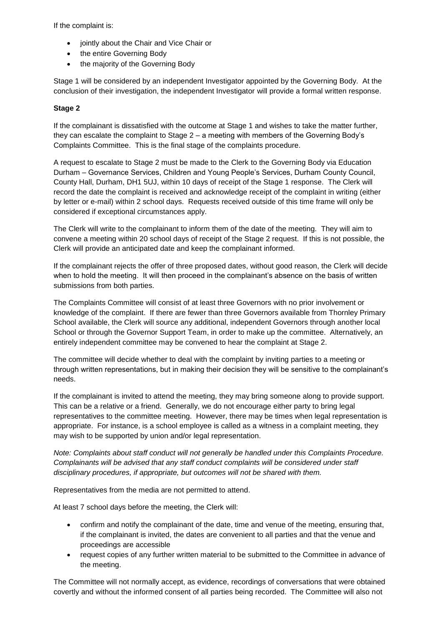If the complaint is:

- jointly about the Chair and Vice Chair or
- the entire Governing Body
- the majority of the Governing Body

Stage 1 will be considered by an independent Investigator appointed by the Governing Body. At the conclusion of their investigation, the independent Investigator will provide a formal written response.

#### **Stage 2**

If the complainant is dissatisfied with the outcome at Stage 1 and wishes to take the matter further, they can escalate the complaint to Stage 2 – a meeting with members of the Governing Body's Complaints Committee. This is the final stage of the complaints procedure.

A request to escalate to Stage 2 must be made to the Clerk to the Governing Body via Education Durham – Governance Services, Children and Young People's Services, Durham County Council, County Hall, Durham, DH1 5UJ, within 10 days of receipt of the Stage 1 response. The Clerk will record the date the complaint is received and acknowledge receipt of the complaint in writing (either by letter or e-mail) within 2 school days. Requests received outside of this time frame will only be considered if exceptional circumstances apply.

The Clerk will write to the complainant to inform them of the date of the meeting. They will aim to convene a meeting within 20 school days of receipt of the Stage 2 request. If this is not possible, the Clerk will provide an anticipated date and keep the complainant informed.

If the complainant rejects the offer of three proposed dates, without good reason, the Clerk will decide when to hold the meeting. It will then proceed in the complainant's absence on the basis of written submissions from both parties.

The Complaints Committee will consist of at least three Governors with no prior involvement or knowledge of the complaint. If there are fewer than three Governors available from Thornley Primary School available, the Clerk will source any additional, independent Governors through another local School or through the Governor Support Team, in order to make up the committee. Alternatively, an entirely independent committee may be convened to hear the complaint at Stage 2.

The committee will decide whether to deal with the complaint by inviting parties to a meeting or through written representations, but in making their decision they will be sensitive to the complainant's needs.

If the complainant is invited to attend the meeting, they may bring someone along to provide support. This can be a relative or a friend. Generally, we do not encourage either party to bring legal representatives to the committee meeting. However, there may be times when legal representation is appropriate. For instance, is a school employee is called as a witness in a complaint meeting, they may wish to be supported by union and/or legal representation.

*Note: Complaints about staff conduct will not generally be handled under this Complaints Procedure. Complainants will be advised that any staff conduct complaints will be considered under staff disciplinary procedures, if appropriate, but outcomes will not be shared with them.*

Representatives from the media are not permitted to attend.

At least 7 school days before the meeting, the Clerk will:

- confirm and notify the complainant of the date, time and venue of the meeting, ensuring that, if the complainant is invited, the dates are convenient to all parties and that the venue and proceedings are accessible
- request copies of any further written material to be submitted to the Committee in advance of the meeting.

The Committee will not normally accept, as evidence, recordings of conversations that were obtained covertly and without the informed consent of all parties being recorded. The Committee will also not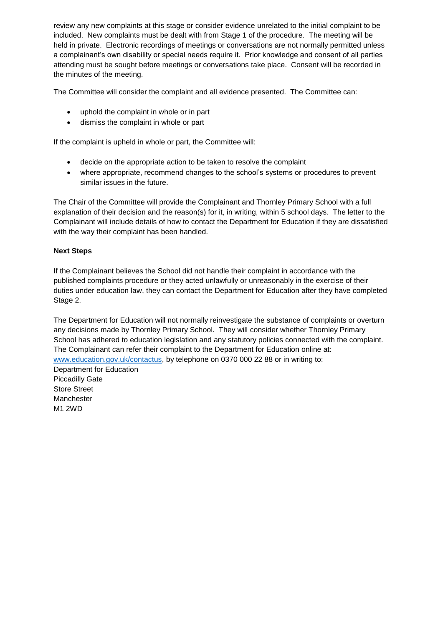review any new complaints at this stage or consider evidence unrelated to the initial complaint to be included. New complaints must be dealt with from Stage 1 of the procedure. The meeting will be held in private. Electronic recordings of meetings or conversations are not normally permitted unless a complainant's own disability or special needs require it. Prior knowledge and consent of all parties attending must be sought before meetings or conversations take place. Consent will be recorded in the minutes of the meeting.

The Committee will consider the complaint and all evidence presented. The Committee can:

- uphold the complaint in whole or in part
- dismiss the complaint in whole or part

If the complaint is upheld in whole or part, the Committee will:

- decide on the appropriate action to be taken to resolve the complaint
- where appropriate, recommend changes to the school's systems or procedures to prevent similar issues in the future.

The Chair of the Committee will provide the Complainant and Thornley Primary School with a full explanation of their decision and the reason(s) for it, in writing, within 5 school days. The letter to the Complainant will include details of how to contact the Department for Education if they are dissatisfied with the way their complaint has been handled.

#### **Next Steps**

If the Complainant believes the School did not handle their complaint in accordance with the published complaints procedure or they acted unlawfully or unreasonably in the exercise of their duties under education law, they can contact the Department for Education after they have completed Stage 2.

The Department for Education will not normally reinvestigate the substance of complaints or overturn any decisions made by Thornley Primary School. They will consider whether Thornley Primary School has adhered to education legislation and any statutory policies connected with the complaint. The Complainant can refer their complaint to the Department for Education online at: [www.education.gov.uk/contactus,](http://www.education.gov.uk/contactus) by telephone on 0370 000 22 88 or in writing to:

Department for Education Piccadilly Gate Store Street Manchester M1 2WD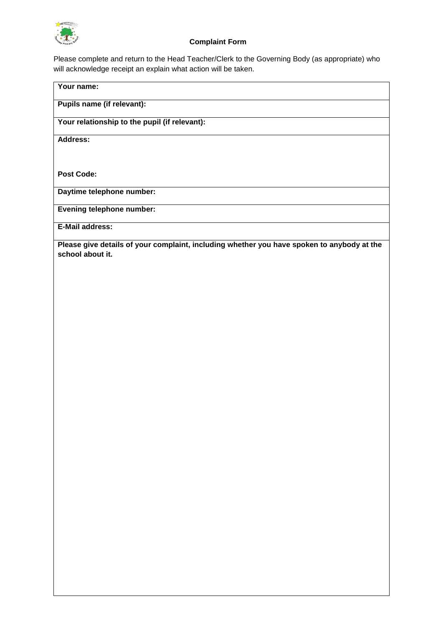

#### **Complaint Form**

Please complete and return to the Head Teacher/Clerk to the Governing Body (as appropriate) who will acknowledge receipt an explain what action will be taken.

### **Your name: Pupils name (if relevant): Your relationship to the pupil (if relevant): Address: Post Code: Daytime telephone number: Evening telephone number: E-Mail address: Please give details of your complaint, including whether you have spoken to anybody at the school about it.**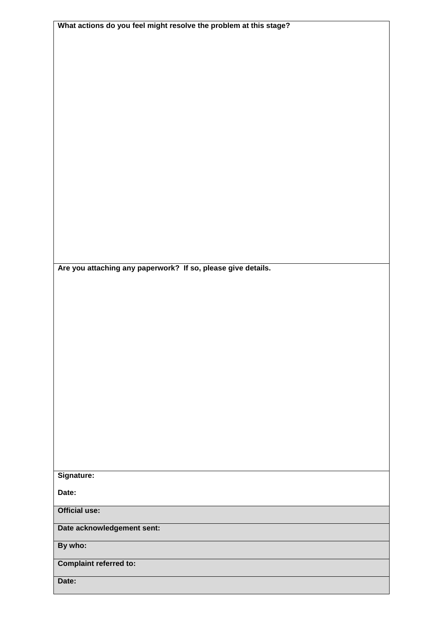| What actions do you feel might resolve the problem at this stage? |
|-------------------------------------------------------------------|
|                                                                   |
|                                                                   |
|                                                                   |
|                                                                   |
|                                                                   |
|                                                                   |
|                                                                   |
|                                                                   |
|                                                                   |
|                                                                   |
|                                                                   |
|                                                                   |
|                                                                   |
|                                                                   |
|                                                                   |
|                                                                   |
|                                                                   |
|                                                                   |
|                                                                   |
| Are you attaching any paperwork? If so, please give details.      |
|                                                                   |
|                                                                   |
|                                                                   |
|                                                                   |
|                                                                   |
|                                                                   |
|                                                                   |
|                                                                   |
|                                                                   |
|                                                                   |
|                                                                   |
|                                                                   |
|                                                                   |
|                                                                   |
|                                                                   |
|                                                                   |
|                                                                   |
| Signature:                                                        |
|                                                                   |
| Date:                                                             |
| <b>Official use:</b>                                              |
|                                                                   |
| Date acknowledgement sent:                                        |
| By who:                                                           |
|                                                                   |
| <b>Complaint referred to:</b>                                     |
| Date:                                                             |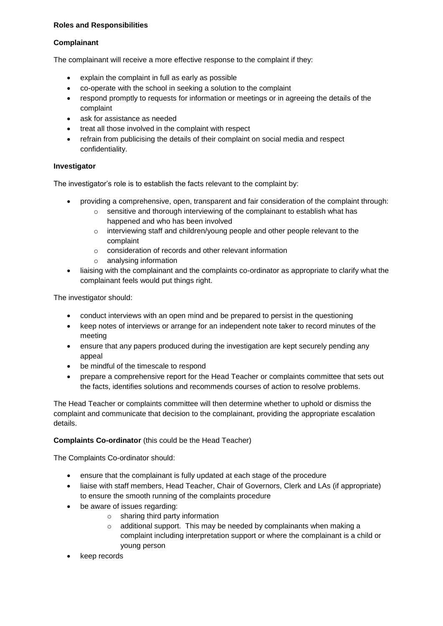#### **Roles and Responsibilities**

#### **Complainant**

The complainant will receive a more effective response to the complaint if they:

- explain the complaint in full as early as possible
- co-operate with the school in seeking a solution to the complaint
- respond promptly to requests for information or meetings or in agreeing the details of the complaint
- ask for assistance as needed
- treat all those involved in the complaint with respect
- refrain from publicising the details of their complaint on social media and respect confidentiality.

#### **Investigator**

The investigator's role is to establish the facts relevant to the complaint by:

- providing a comprehensive, open, transparent and fair consideration of the complaint through:
	- o sensitive and thorough interviewing of the complainant to establish what has happened and who has been involved
	- o interviewing staff and children/young people and other people relevant to the complaint
	- o consideration of records and other relevant information
	- o analysing information
- liaising with the complainant and the complaints co-ordinator as appropriate to clarify what the complainant feels would put things right.

The investigator should:

- conduct interviews with an open mind and be prepared to persist in the questioning
- keep notes of interviews or arrange for an independent note taker to record minutes of the meeting
- ensure that any papers produced during the investigation are kept securely pending any appeal
- be mindful of the timescale to respond
- prepare a comprehensive report for the Head Teacher or complaints committee that sets out the facts, identifies solutions and recommends courses of action to resolve problems.

The Head Teacher or complaints committee will then determine whether to uphold or dismiss the complaint and communicate that decision to the complainant, providing the appropriate escalation details.

#### **Complaints Co-ordinator** (this could be the Head Teacher)

The Complaints Co-ordinator should:

- ensure that the complainant is fully updated at each stage of the procedure
- liaise with staff members, Head Teacher, Chair of Governors, Clerk and LAs (if appropriate) to ensure the smooth running of the complaints procedure
- be aware of issues regarding:
	- o sharing third party information
	- o additional support. This may be needed by complainants when making a complaint including interpretation support or where the complainant is a child or young person
- keep records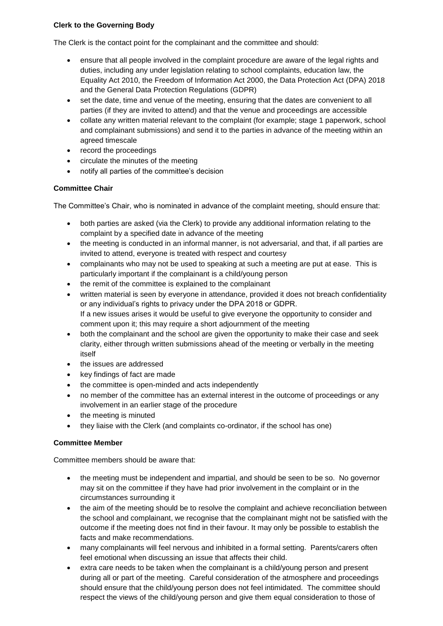#### **Clerk to the Governing Body**

The Clerk is the contact point for the complainant and the committee and should:

- ensure that all people involved in the complaint procedure are aware of the legal rights and duties, including any under legislation relating to school complaints, education law, the Equality Act 2010, the Freedom of Information Act 2000, the Data Protection Act (DPA) 2018 and the General Data Protection Regulations (GDPR)
- set the date, time and venue of the meeting, ensuring that the dates are convenient to all parties (if they are invited to attend) and that the venue and proceedings are accessible
- collate any written material relevant to the complaint (for example; stage 1 paperwork, school and complainant submissions) and send it to the parties in advance of the meeting within an agreed timescale
- record the proceedings
- circulate the minutes of the meeting
- notify all parties of the committee's decision

#### **Committee Chair**

The Committee's Chair, who is nominated in advance of the complaint meeting, should ensure that:

- both parties are asked (via the Clerk) to provide any additional information relating to the complaint by a specified date in advance of the meeting
- the meeting is conducted in an informal manner, is not adversarial, and that, if all parties are invited to attend, everyone is treated with respect and courtesy
- complainants who may not be used to speaking at such a meeting are put at ease. This is particularly important if the complainant is a child/young person
- the remit of the committee is explained to the complainant
- written material is seen by everyone in attendance, provided it does not breach confidentiality or any individual's rights to privacy under the DPA 2018 or GDPR. If a new issues arises it would be useful to give everyone the opportunity to consider and comment upon it; this may require a short adjournment of the meeting
- both the complainant and the school are given the opportunity to make their case and seek clarity, either through written submissions ahead of the meeting or verbally in the meeting itself
- the issues are addressed
- key findings of fact are made
- the committee is open-minded and acts independently
- no member of the committee has an external interest in the outcome of proceedings or any involvement in an earlier stage of the procedure
- the meeting is minuted
- they liaise with the Clerk (and complaints co-ordinator, if the school has one)

#### **Committee Member**

Committee members should be aware that:

- the meeting must be independent and impartial, and should be seen to be so. No governor may sit on the committee if they have had prior involvement in the complaint or in the circumstances surrounding it
- the aim of the meeting should be to resolve the complaint and achieve reconciliation between the school and complainant, we recognise that the complainant might not be satisfied with the outcome if the meeting does not find in their favour. It may only be possible to establish the facts and make recommendations.
- many complainants will feel nervous and inhibited in a formal setting. Parents/carers often feel emotional when discussing an issue that affects their child.
- extra care needs to be taken when the complainant is a child/young person and present during all or part of the meeting. Careful consideration of the atmosphere and proceedings should ensure that the child/young person does not feel intimidated. The committee should respect the views of the child/young person and give them equal consideration to those of